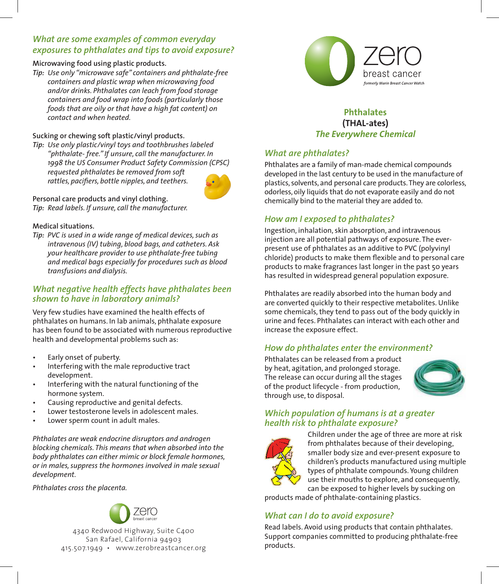# *What are some examples of common everyday exposures to phthalates and tips to avoid exposure?*

#### **Microwaving food using plastic products.**

*Tip: Use only "microwave safe" containers and phthalate-free containers and plastic wrap when microwaving food and/or drinks. Phthalates can leach from food storage containers and food wrap into foods (particularly those foods that are oily or that have a high fat content) on contact and when heated.*

#### **Sucking or chewing soft plastic/vinyl products.**

*Tip: Use only plastic/vinyl toys and toothbrushes labeled "phthalate- free." If unsure, call the manufacturer. In 1998 the US Consumer Product Safety Commission (CPSC) requested phthalates be removed from soft rattles, pacifiers, bottle nipples, and teethers.*



**Personal care products and vinyl clothing.** *Tip: Read labels. If unsure, call the manufacturer.*

#### **Medical situations.**

*Tip: PVC is used in a wide range of medical devices, such as intravenous (IV) tubing, blood bags, and catheters. Ask your healthcare provider to use phthalate-free tubing and medical bags especially for procedures such as blood transfusions and dialysis.*

## *What negative health effects have phthalates been shown to have in laboratory animals?*

Very few studies have examined the health effects of phthalates on humans. In lab animals, phthalate exposure has been found to be associated with numerous reproductive health and developmental problems such as:

- Early onset of puberty.
- Interfering with the male reproductive tract development.
- Interfering with the natural functioning of the hormone system.
- Causing reproductive and genital defects.
- Lower testosterone levels in adolescent males.
- Lower sperm count in adult males.

*Phthalates are weak endocrine disruptors and androgen blocking chemicals. This means that when absorbed into the body phthalates can either mimic or block female hormones, or in males, suppress the hormones involved in male sexual development.*

*Phthalates cross the placenta.*



4340 Redwood Highway, Suite C400 San Rafael, California 94903 415.507.1949 • www.zerobreastcancer.org



## **Phthalates (THAL-ates)** *The Everywhere Chemical*

# *What are phthalates?*

Phthalates are a family of man-made chemical compounds developed in the last century to be used in the manufacture of plastics, solvents, and personal care products. They are colorless, odorless, oily liquids that do not evaporate easily and do not chemically bind to the material they are added to.

# *How am I exposed to phthalates?*

Ingestion, inhalation, skin absorption, and intravenous injection are all potential pathways of exposure. The everpresent use of phthalates as an additive to PVC (polyvinyl chloride) products to make them flexible and to personal care products to make fragrances last longer in the past 50 years has resulted in widespread general population exposure.

Phthalates are readily absorbed into the human body and are converted quickly to their respective metabolites. Unlike some chemicals, they tend to pass out of the body quickly in urine and feces. Phthalates can interact with each other and increase the exposure effect.

# *How do phthalates enter the environment?*

Phthalates can be released from a product by heat, agitation, and prolonged storage. The release can occur during all the stages of the product lifecycle - from production, through use, to disposal.



## *Which population of humans is at a greater health risk to phthalate exposure?*



Children under the age of three are more at risk from phthalates because of their developing, smaller body size and ever-present exposure to children's products manufactured using multiple types of phthalate compounds. Young children use their mouths to explore, and consequently, can be exposed to higher levels by sucking on

products made of phthalate-containing plastics.

# *What can I do to avoid exposure?*

Read labels. Avoid using products that contain phthalates. Support companies committed to producing phthalate-free products.